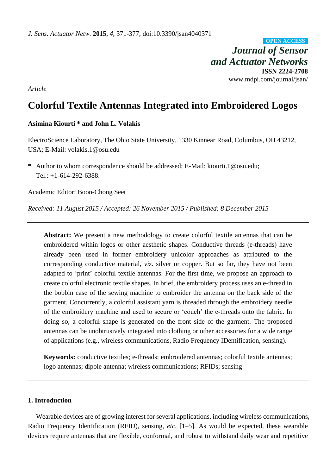*Journal of Sensor and Actuator Networks* **ISSN 2224-2708** www.mdpi.com/journal/jsan/ **OPEN ACCESS**

*Article*

# **Colorful Textile Antennas Integrated into Embroidered Logos**

# **Asimina Kiourti \* and John L. Volakis**

ElectroScience Laboratory, The Ohio State University, 1330 Kinnear Road, Columbus, OH 43212, USA; E-Mail: volakis.1@osu.edu

**\*** Author to whom correspondence should be addressed; E-Mail: kiourti.1@osu.edu; Tel.: +1-614-292-6388.

Academic Editor: Boon-Chong Seet

*Received: 11 August 2015 / Accepted: 26 November 2015 / Published: 8 December 2015*

**Abstract:** We present a new methodology to create colorful textile antennas that can be embroidered within logos or other aesthetic shapes. Conductive threads (e-threads) have already been used in former embroidery unicolor approaches as attributed to the corresponding conductive material, *viz*. silver or copper. But so far, they have not been adapted to 'print' colorful textile antennas. For the first time, we propose an approach to create colorful electronic textile shapes. In brief, the embroidery process uses an e-thread in the bobbin case of the sewing machine to embroider the antenna on the back side of the garment. Concurrently, a colorful assistant yarn is threaded through the embroidery needle of the embroidery machine and used to secure or 'couch' the e-threads onto the fabric. In doing so, a colorful shape is generated on the front side of the garment. The proposed antennas can be unobtrusively integrated into clothing or other accessories for a wide range of applications (e.g., wireless communications, Radio Frequency IDentification, sensing).

**Keywords:** conductive textiles; e-threads; embroidered antennas; colorful textile antennas; logo antennas; dipole antenna; wireless communications; RFIDs; sensing

### **1. Introduction**

Wearable devices are of growing interest for several applications, including wireless communications, Radio Frequency Identification (RFID), sensing, *etc*. [1–5]. As would be expected, these wearable devices require antennas that are flexible, conformal, and robust to withstand daily wear and repetitive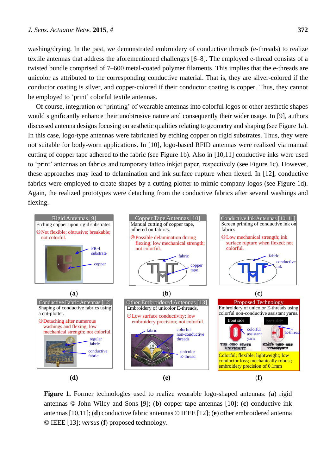washing/drying. In the past, we demonstrated embroidery of conductive threads (e-threads) to realize textile antennas that address the aforementioned challenges [6–8]. The employed e-thread consists of a twisted bundle comprised of 7–600 metal-coated polymer filaments. This implies that the e-threads are unicolor as attributed to the corresponding conductive material. That is, they are silver-colored if the conductor coating is silver, and copper-colored if their conductor coating is copper. Thus, they cannot be employed to 'print' colorful textile antennas.

Of course, integration or 'printing' of wearable antennas into colorful logos or other aesthetic shapes would significantly enhance their unobtrusive nature and consequently their wider usage. In [9], authors discussed antenna designs focusing on aesthetic qualities relating to geometry and shaping (see Figure 1a). In this case, logo-type antennas were fabricated by etching copper on rigid substrates. Thus, they were not suitable for body-worn applications. In [10], logo-based RFID antennas were realized via manual cutting of copper tape adhered to the fabric (see Figure 1b). Also in [10,11] conductive inks were used to 'print' antennas on fabrics and temporary tattoo inkjet paper, respectively (see Figure 1c). However, these approaches may lead to delamination and ink surface rupture when flexed. In [12], conductive fabrics were employed to create shapes by a cutting plotter to mimic company logos (see Figure 1d). Again, the realized prototypes were detaching from the conductive fabrics after several washings and flexing.



**Figure 1.** Former technologies used to realize wearable logo-shaped antennas: (**a**) rigid antennas © John Wiley and Sons [9]; (**b**) copper tape antennas [10]; (**c**) conductive ink antennas [10,11]; (**d**) conductive fabric antennas © IEEE [12]; (**e**) other embroidered antenna © IEEE [13]; *versus* (**f**) proposed technology.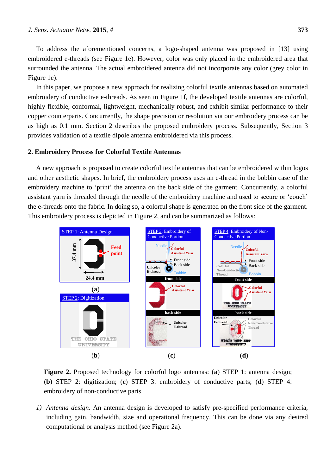To address the aforementioned concerns, a logo-shaped antenna was proposed in [13] using embroidered e-threads (see Figure 1e). However, color was only placed in the embroidered area that surrounded the antenna. The actual embroidered antenna did not incorporate any color (grey color in Figure 1e).

In this paper, we propose a new approach for realizing colorful textile antennas based on automated embroidery of conductive e-threads. As seen in Figure 1f, the developed textile antennas are colorful, highly flexible, conformal, lightweight, mechanically robust, and exhibit similar performance to their copper counterparts. Concurrently, the shape precision or resolution via our embroidery process can be as high as 0.1 mm. Section 2 describes the proposed embroidery process. Subsequently, Section 3 provides validation of a textile dipole antenna embroidered via this process.

#### **2. Embroidery Process for Colorful Textile Antennas**

A new approach is proposed to create colorful textile antennas that can be embroidered within logos and other aesthetic shapes. In brief, the embroidery process uses an e-thread in the bobbin case of the embroidery machine to 'print' the antenna on the back side of the garment. Concurrently, a colorful assistant yarn is threaded through the needle of the embroidery machine and used to secure or 'couch' the e-threads onto the fabric. In doing so, a colorful shape is generated on the front side of the garment. This embroidery process is depicted in Figure 2, and can be summarized as follows:



**Figure 2.** Proposed technology for colorful logo antennas: (**a**) STEP 1: antenna design; (**b**) STEP 2: digitization; (**c**) STEP 3: embroidery of conductive parts; (**d**) STEP 4: embroidery of non-conductive parts.

*1) Antenna design*. An antenna design is developed to satisfy pre-specified performance criteria, including gain, bandwidth, size and operational frequency. This can be done via any desired computational or analysis method (see Figure 2a).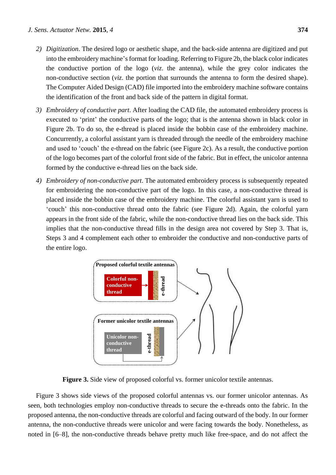- *2) Digitization*. The desired logo or aesthetic shape, and the back-side antenna are digitized and put into the embroidery machine's format for loading. Referring to Figure 2b, the black color indicates the conductive portion of the logo (*viz*. the antenna), while the grey color indicates the non-conductive section (*viz*. the portion that surrounds the antenna to form the desired shape). The Computer Aided Design (CAD) file imported into the embroidery machine software contains the identification of the front and back side of the pattern in digital format.
- *3) Embroidery of conductive part*. After loading the CAD file, the automated embroidery process is executed to 'print' the conductive parts of the logo; that is the antenna shown in black color in Figure 2b. To do so, the e-thread is placed inside the bobbin case of the embroidery machine. Concurrently, a colorful assistant yarn is threaded through the needle of the embroidery machine and used to 'couch' the e-thread on the fabric (see Figure 2c). As a result, the conductive portion of the logo becomes part of the colorful front side of the fabric. But in effect, the unicolor antenna formed by the conductive e-thread lies on the back side.
- *4) Embroidery of non-conductive part*. The automated embroidery process is subsequently repeated for embroidering the non-conductive part of the logo. In this case, a non-conductive thread is placed inside the bobbin case of the embroidery machine. The colorful assistant yarn is used to 'couch' this non-conductive thread onto the fabric (see Figure 2d). Again, the colorful yarn appears in the front side of the fabric, while the non-conductive thread lies on the back side. This implies that the non-conductive thread fills in the design area not covered by Step 3. That is, Steps 3 and 4 complement each other to embroider the conductive and non-conductive parts of the entire logo.



**Figure 3.** Side view of proposed colorful vs. former unicolor textile antennas.

Figure 3 shows side views of the proposed colorful antennas vs. our former unicolor antennas. As seen, both technologies employ non-conductive threads to secure the e-threads onto the fabric. In the proposed antenna, the non-conductive threads are colorful and facing outward of the body. In our former antenna, the non-conductive threads were unicolor and were facing towards the body. Nonetheless, as noted in [6–8], the non-conductive threads behave pretty much like free-space, and do not affect the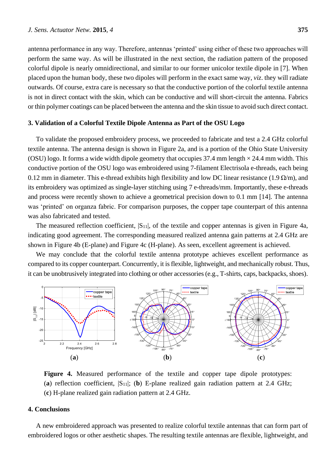antenna performance in any way. Therefore, antennas 'printed' using either of these two approaches will perform the same way. As will be illustrated in the next section, the radiation pattern of the proposed colorful dipole is nearly omnidirectional, and similar to our former unicolor textile dipole in [7]. When placed upon the human body, these two dipoles will perform in the exact same way, *viz*. they will radiate outwards. Of course, extra care is necessary so that the conductive portion of the colorful textile antenna is not in direct contact with the skin, which can be conductive and will short-circuit the antenna. Fabrics or thin polymer coatings can be placed between the antenna and the skin tissue to avoid such direct contact.

#### **3. Validation of a Colorful Textile Dipole Antenna as Part of the OSU Logo**

To validate the proposed embroidery process, we proceeded to fabricate and test a 2.4 GHz colorful textile antenna. The antenna design is shown in Figure 2a, and is a portion of the Ohio State University (OSU) logo. It forms a wide width dipole geometry that occupies 37.4 mm length  $\times$  24.4 mm width. This conductive portion of the OSU logo was embroidered using 7-filament Electrisola e-threads, each being 0.12 mm in diameter. This e-thread exhibits high flexibility and low DC linear resistance (1.9  $\Omega/m$ ), and its embroidery was optimized as single-layer stitching using 7 e-threads/mm. Importantly, these e-threads and process were recently shown to achieve a geometrical precision down to 0.1 mm [14]. The antenna was 'printed' on organza fabric. For comparison purposes, the copper tape counterpart of this antenna was also fabricated and tested.

The measured reflection coefficient,  $|S_{11}|$ , of the textile and copper antennas is given in Figure 4a, indicating good agreement. The corresponding measured realized antenna gain patterns at 2.4 GHz are shown in Figure 4b (E-plane) and Figure 4c (H-plane). As seen, excellent agreement is achieved.

We may conclude that the colorful textile antenna prototype achieves excellent performance as compared to its copper counterpart. Concurrently, it is flexible, lightweight, and mechanically robust. Thus, it can be unobtrusively integrated into clothing or other accessories (e.g., T-shirts, caps, backpacks, shoes).



**Figure 4.** Measured performance of the textile and copper tape dipole prototypes: (**a**) reflection coefficient, |S11|; (**b**) E-plane realized gain radiation pattern at 2.4 GHz; (**c**) H-plane realized gain radiation pattern at 2.4 GHz.

### **4. Conclusions**

A new embroidered approach was presented to realize colorful textile antennas that can form part of embroidered logos or other aesthetic shapes. The resulting textile antennas are flexible, lightweight, and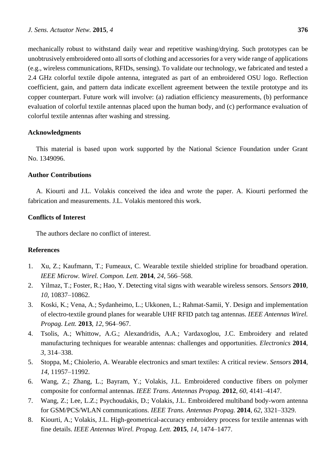mechanically robust to withstand daily wear and repetitive washing/drying. Such prototypes can be unobtrusively embroidered onto all sorts of clothing and accessories for a very wide range of applications (e.g., wireless communications, RFIDs, sensing). To validate our technology, we fabricated and tested a 2.4 GHz colorful textile dipole antenna, integrated as part of an embroidered OSU logo. Reflection coefficient, gain, and pattern data indicate excellent agreement between the textile prototype and its copper counterpart. Future work will involve: (a) radiation efficiency measurements, (b) performance evaluation of colorful textile antennas placed upon the human body, and (c) performance evaluation of colorful textile antennas after washing and stressing.

# **Acknowledgments**

This material is based upon work supported by the National Science Foundation under Grant No. 1349096.

# **Author Contributions**

A. Kiourti and J.L. Volakis conceived the idea and wrote the paper. A. Kiourti performed the fabrication and measurements. J.L. Volakis mentored this work.

# **Conflicts of Interest**

The authors declare no conflict of interest.

#### **References**

- 1. Xu, Z.; Kaufmann, T.; Fumeaux, C. Wearable textile shielded stripline for broadband operation. *IEEE Microw. Wirel. Compon. Lett.* **2014**, *24*, 566–568.
- 2. Yilmaz, T.; Foster, R.; Hao, Y. Detecting vital signs with wearable wireless sensors. *Sensors* **2010**, *10*, 10837–10862.
- 3. Koski, K.; Vena, A.; Sydanheimo, L.; Ukkonen, L.; Rahmat-Samii, Y. Design and implementation of electro-textile ground planes for wearable UHF RFID patch tag antennas. *IEEE Antennas Wirel. Propag. Lett.* **2013**, *12*, 964–967.
- 4. Tsolis, A.; Whittow, A.G.; Alexandridis, A.A.; Vardaxoglou, J.C. Embroidery and related manufacturing techniques for wearable antennas: challenges and opportunities. *Electronics* **2014**, *3*, 314–338.
- 5. Stoppa, M.; Chiolerio, A. Wearable electronics and smart textiles: A critical review. *Sensors* **2014**, *14*, 11957–11992.
- 6. Wang, Z.; Zhang, L.; Bayram, Y.; Volakis, J.L. Embroidered conductive fibers on polymer composite for conformal antennas. *IEEE Trans. Antennas Propag.* **2012**, *60*, 4141–4147.
- 7. Wang, Z.; Lee, L.Z.; Psychoudakis, D.; Volakis, J.L. Embroidered multiband body-worn antenna for GSM/PCS/WLAN communications. *IEEE Trans. Antennas Propag.* **2014**, *62*, 3321–3329.
- 8. Kiourti, A.; Volakis, J.L. High-geometrical-accuracy embroidery process for textile antennas with fine details. *IEEE Antennas Wirel. Propag. Lett.* **2015**, *14*, 1474–1477.